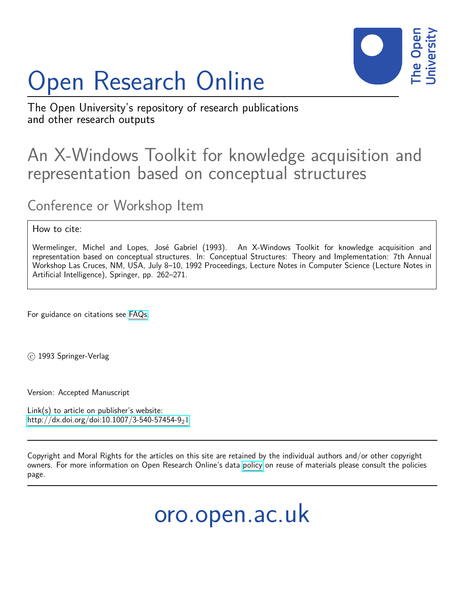# Open Research Online



The Open University's repository of research publications and other research outputs

# An X-Windows Toolkit for knowledge acquisition and representation based on conceptual structures

# Conference or Workshop Item

## How to cite:

Wermelinger, Michel and Lopes, José Gabriel (1993). An X-Windows Toolkit for knowledge acquisition and representation based on conceptual structures. In: Conceptual Structures: Theory and Implementation: 7th Annual Workshop Las Cruces, NM, USA, July 8–10, 1992 Proceedings, Lecture Notes in Computer Science (Lecture Notes in Artificial Intelligence), Springer, pp. 262–271.

For guidance on citations see [FAQs.](http://oro.open.ac.uk/help/helpfaq.html)

c 1993 Springer-Verlag

Version: Accepted Manuscript

Link(s) to article on publisher's website: [http://dx.doi.org/doi:10.1007/3-540-57454-9](http://dx.doi.org/doi:10.1007/3-540-57454-9_21)21

Copyright and Moral Rights for the articles on this site are retained by the individual authors and/or other copyright owners. For more information on Open Research Online's data [policy](http://oro.open.ac.uk/policies.html) on reuse of materials please consult the policies page.

oro.open.ac.uk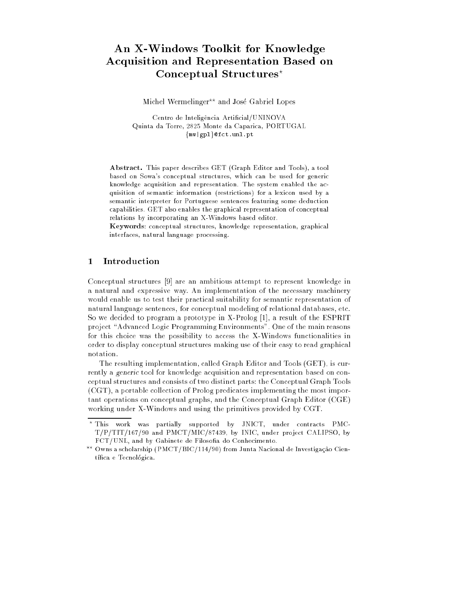## An X-Windows Toolkit for Knowledge Acquisition and Representation Based on Conceptual Structures<sup>\*</sup>

Michel Wermelinger<sup>\*\*</sup> and José Gabriel Lopes

Centro de Inteligência Artificial/UNINOVA Quinta da Torre, 2825 Monte da Caparica, PORTUGAL  ${m \vee | gpl}$ @fct.unl.pt

Abstract. This paper describes GET (Graph Editor and Tools), a tool based on Sowa's conceptual structures, which can be used for generic knowledge acquisition and representation. The system enabled the acquisition of semantic information (restrictions) for a lexicon used by a semantic interpreter for Portuguese sentences featuring some deduction capabilities. GET also enables the graphical representation of conceptual relations by incorporating an X-Windows based editor.

Keywords: conceptual structures, knowledge representation, graphical interfaces, natural language processing.

#### **Introduction**  $\mathbf 1$

Conceptual structures [9] are an ambitious attempt to represent knowledge in a natural and expressive way. An implementation of the necessary machinery would enable us to test their practical suitability for semantic representation of natural language sentences, for conceptual modeling of relational databases, etc. So we decided to program a prototype in X-Prolog [1], a result of the ESPRIT project "Advanced Logic Programming Environments". One of the main reasons for this choice was the possibility to access the X-Windows functionalities in order to display conceptual structures making use of their easy to read graphical notation.

The resulting implementation, called Graph Editor and Tools (GET), is currently a generic tool for knowledge acquisition and representation based on conceptual structures and consists of two distinct parts: the Conceptual Graph Tools (CGT), a portable collection of Prolog predicates implementing the most important operations on conceptual graphs, and the Conceptual Graph Editor (CGE) working under X-Windows and using the primitives provided by CGT.

<sup>?</sup> This work was partially supported by JNICT, under contracts PMC- $T/P/TIT/167/90$  and  $PMCT/MIC/87439$ , by INIC, under project CALIPSO, by FCT/UNL, and by Gabinete de Filosofia do Conhecimento.

<sup>??</sup> Owns a scholarship (PMCT/BIC/114/90) from Junta Nacional de Investigac~ao Científica e Tecnológica.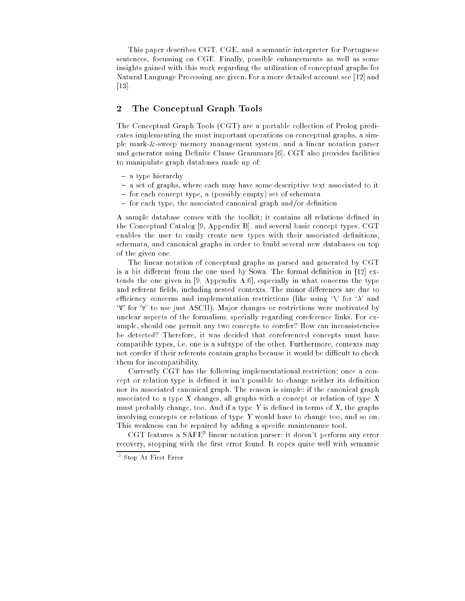This paper describes CGT, CGE, and a semantic interpreter for Portuguese sentences, focussing on CGE. Finally, possible enhancements as well as some insights gained with this work regarding the utilization of conceptual graphs for Natural Language Processing are given. For a more detailed account see [12] and [13].

#### 2 The Conceptual Graph Tools

The Conceptual Graph Tools (CGT) are a portable collection of Prolog predicates implementing the most important operations on conceptual graphs, a simple mark-&-sweep memory management system, and a linear notation parser and generator using Definite Clause Grammars [6]. CGT also provides facilities to manipulate graph databases made up of:

- a type hierarchy
- { a set of graphs, where each may have some descriptive text associated to it
- { for each concept type, a (possibly empty) set of schemata
- $=$  for each type, the associated canonical graph and/or definition

A sample database comes with the toolkit; it contains all relations defined in the Conceptual Catalog [9, Appendix B], and several basic concept types. CGT enables the user to easily create new types with their associated definitions, schemata, and canonical graphs in order to build several new databases on top of the given one.

The linear notation of conceptual graphs as parsed and generated by CGT is a bit different from the one used by Sowa. The formal definition in [12] extends the one given in [9, Appendix A.6], especially in what concerns the type and referent fields, including nested contexts. The minor differences are due to efficiency concerns and implementation restrictions (like using  $\Diamond$  for  $\lambda$  and  $\forall V$  for  $\forall$ ' to use just ASCII). Major changes or restrictions were motivated by unclear aspects of the formalism, specially regarding coreference links. For example, should one permit any two concepts to corefer? How can inconsistencies be detected? Therefore, it was decided that coreferenced concepts must have compatible types, i.e. one is a subtype of the other. Furthermore, contexts may not corefer if their referents contain graphs because it would be difficult to check them for incompatibility.

Currently CGT has the following implementational restriction: once a concept or relation type is defined it isn't possible to change neither its definition nor its associated canonical graph. The reason is simple: if the canonical graph associated to a type X changes, all graphs with a concept or relation of type X must probably change, too. And if a type  $Y$  is defined in terms of  $X$ , the graphs involving concepts or relations of type Y would have to change too, and so on. This weakness can be repaired by adding a specic maintenance tool.

CGT features a SAFE<sup>3</sup> linear notation parser: it doesn't perform any error recovery, stopping with the first error found. It copes quite well with semantic

<sup>3</sup> Stop At First Error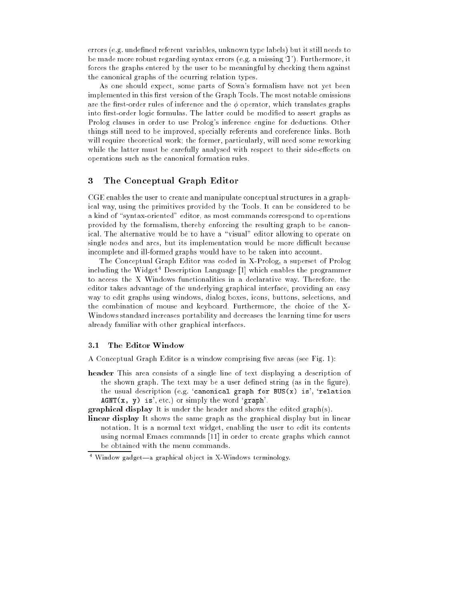errors (e.g. undefined referent variables, unknown type labels) but it still needs to be made more robust regarding syntax errors (e.g. a missing `]'). Furthermore, it forces the graphs entered by the user to be meaningful by checking them against the canonical graphs of the ocurring relation types.

As one should expect, some parts of Sowa's formalism have not yet been implemented in this first version of the Graph Tools. The most notable omissions are the first-order rules of inference and the  $\phi$  operator, which translates graphs into first-order logic formulas. The latter could be modified to assert graphs as Prolog clauses in order to use Prolog's inference engine for deductions. Other things still need to be improved, specially referents and coreference links. Both will require theoretical work; the former, particularly, will need some reworking while the latter must be carefully analysed with respect to their side-effects on operations such as the canonical formation rules.

### 3 The Conceptual Graph Editor

CGE enables the user to create and manipulate conceptual structures in a graphical way, using the primitives provided by the Tools. It can be considered to be a kind of "syntax-oriented" editor, as most commands correspond to operations provided by the formalism, thereby enforcing the resulting graph to be canonical. The alternative would be to have a "visual" editor allowing to operate on single nodes and arcs, but its implementation would be more difficult because incomplete and ill-formed graphs would have to be taken into account.

The Conceptual Graph Editor was coded in X-Prolog, a superset of Prolog including the Widget<sup>4</sup> Description Language  $[1]$  which enables the programmer to access the X Windows functionalities in a declarative way. Therefore, the editor takes advantage of the underlying graphical interface, providing an easy way to edit graphs using windows, dialog boxes, icons, buttons, selections, and the combination of mouse and keyboard. Furthermore, the choice of the X-Windows standard increases portability and decreases the learning time for users already familiar with other graphical interfaces.

#### 3.1 The Editor Window

A Conceptual Graph Editor is a window comprising five areas (see Fig. 1):

- header This area consists of a single line of text displaying a description of the shown graph. The text may be a user defined string (as in the figure), the usual description (e.g. 'canonical graph for BUS $(x)$  is', 'relation  $AGNT(x, y)$  is', etc.) or simply the word 'graph'.
- graphical display It is under the header and shows the edited graph(s).
- linear display It shows the same graph as the graphical display but in linear notation. It is a normal text widget, enabling the user to edit its contents using normal Emacs commands [11] in order to create graphs which cannot be obtained with the menu commands.

 $^\circ$  window gadget—a graphical object in  $\Lambda$ -Windows terminology.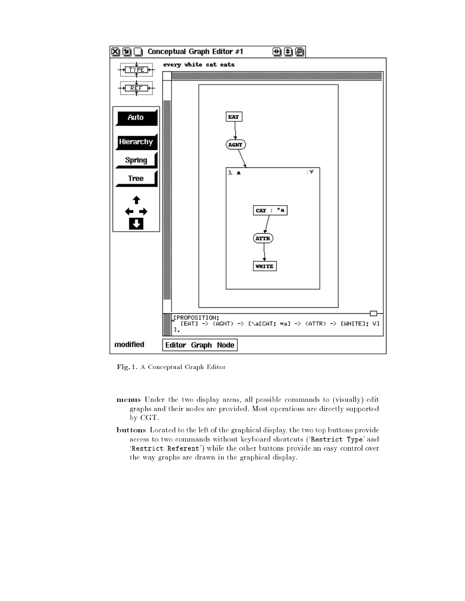

Fig. 1. A Conceptual Graph Editor

- menus Under the two display areas, all possible commands to (visually) edit graphs and their nodes are provided. Most operations are directly supported by CGT.
- buttons Located to the left of the graphical display, the two top buttons provide access to two commands without keyboard shortcuts (`Restrict Type' and 'Restrict Referent') while the other buttons provide an easy control over the way graphs are drawn in the graphical display.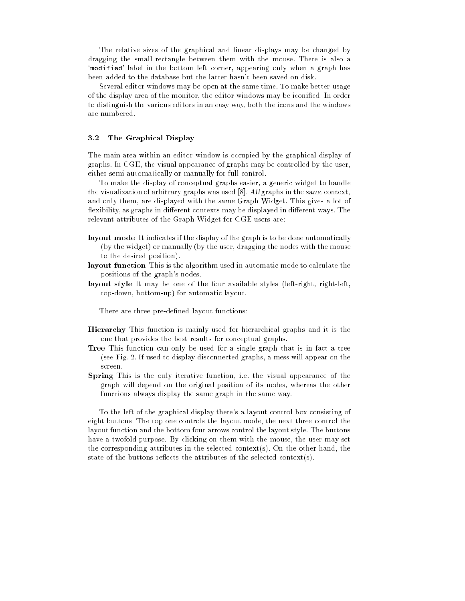The relative sizes of the graphical and linear displays may be changed by dragging the small rectangle between them with the mouse. There is also a `modified' label in the bottom left corner, appearing only when a graph has been added to the database but the latter hasn't been saved on disk.

Several editor windows may be open at the same time. To make better usage of the display area of the monitor, the editor windows may be iconied. In order to distinguish the various editors in an easy way, both the icons and the windows are numbered.

#### 3.2 The Graphical Display

The main area within an editor window is occupied by the graphical display of graphs. In CGE, the visual appearance of graphs may be controlled by the user, either semi-automatically or manually for full control.

To make the display of conceptual graphs easier, a generic widget to handle the visualization of arbitrary graphs was used [8]. All graphs in the same context, and only them, are displayed with the same Graph Widget. This gives a lot of flexibility, as graphs in different contexts may be displayed in different ways. The relevant attributes of the Graph Widget for CGE users are:

- layout mode It indicates if the display of the graph is to be done automatically (by the widget) or manually (by the user, dragging the nodes with the mouse to the desired position).
- layout function This is the algorithm used in automatic mode to calculate the positions of the graph's nodes.
- layout style It may be one of the four available styles (left-right, right-left, top-down, bottom-up) for automatic layout.

There are three pre-defined layout functions:

- Hierarchy This function is mainly used for hierarchical graphs and it is the one that provides the best results for conceptual graphs.
- Tree This function can only be used for a single graph that is in fact a tree (see Fig. 2. If used to display disconnected graphs, a mess will appear on the screen.
- Spring This is the only iterative function, i.e. the visual appearance of the graph will depend on the original position of its nodes, whereas the other functions always display the same graph in the same way.

To the left of the graphical display there's a layout control box consisting of eight buttons. The top one controls the layout mode, the next three control the layout function and the bottom four arrows control the layout style. The buttons have a twofold purpose. By clicking on them with the mouse, the user may set the corresponding attributes in the selected context(s). On the other hand, the state of the buttons reflects the attributes of the selected context(s).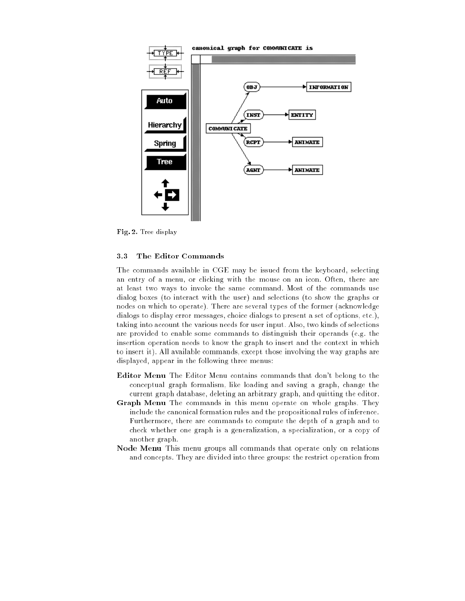

Fig. 2. Tree display

#### 3.3 The Editor Commands

The commands available in CGE may be issued from the keyboard, selecting an entry of a menu, or clicking with the mouse on an icon. Often, there are at least two ways to invoke the same command. Most of the commands use dialog boxes (to interact with the user) and selections (to show the graphs or nodes on which to operate). There are several types of the former (acknowledge dialogs to display error messages, choice dialogs to present a set of options, etc.), taking into account the various needs for user input. Also, two kinds of selections are provided to enable some commands to distinguish their operands (e.g. the insertion operation needs to know the graph to insert and the context in which to insert it). All available commands, except those involving the way graphs are displayed, appear in the following three menus:

- Editor Menu The Editor Menu contains commands that don't belong to the conceptual graph formalism, like loading and saving a graph, change the current graph database, deleting an arbitrary graph, and quitting the editor.
- Graph Menu The commands in this menu operate on whole graphs. They include the canonical formation rules and the propositional rules of inference. Furthermore, there are commands to compute the depth of a graph and to check whether one graph is a generalization, a specialization, or a copy of another graph.
- Node Menu This menu groups all commands that operate only on relations and concepts. They are divided into three groups: the restrict operation from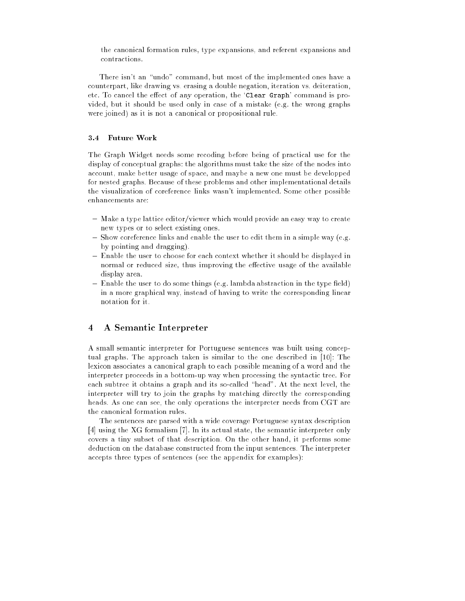the canonical formation rules, type expansions, and referent expansions and contractions.

There isn't an "undo" command, but most of the implemented ones have a counterpart, like drawing vs. erasing a double negation, iteration vs. deiteration, etc. To cancel the effect of any operation, the 'Clear Graph' command is provided, but it should be used only in case of a mistake (e.g. the wrong graphs were joined) as it is not a canonical or propositional rule.

#### $3.4$ Future Work

The Graph Widget needs some recoding before being of practical use for the display of conceptual graphs: the algorithms must take the size of the nodes into account, make better usage of space, and maybe a new one must be developped for nested graphs. Because of these problems and other implementational details the visualization of coreference links wasn't implemented. Some other possible enhancements are:

- Make a type lattice editor/viewer which would provide an easy way to create new types or to select existing ones.
- ${\rm -}$  Show coreference links and enable the user to edit them in a simple way (e.g. by pointing and dragging).
- { Enable the user to choose for each context whether it should be displayed in normal or reduced size, thus improving the effective usage of the available display area.
- $-$  Enable the user to do some things (e.g. lambda abstraction in the type field) in a more graphical way, instead of having to write the corresponding linear notation for it.

#### 4 A Semantic Interpreter

A small semantic interpreter for Portuguese sentences was built using conceptual graphs. The approach taken is similar to the one described in [10]: The lexicon associates a canonical graph to each possible meaning of a word and the interpreter proceeds in a bottom-up way when processing the syntactic tree. For each subtree it obtains a graph and its so-called "head". At the next level, the interpreter will try to join the graphs by matching directly the corresponding heads. As one can see, the only operations the interpreter needs from CGT are the canonical formation rules.

The sentences are parsed with a wide coverage Portuguese syntax description [4] using the XG formalism [7]. In its actual state, the semantic interpreter only covers a tiny subset of that description. On the other hand, it performs some deduction on the database constructed from the input sentences. The interpreter accepts three types of sentences (see the appendix for examples):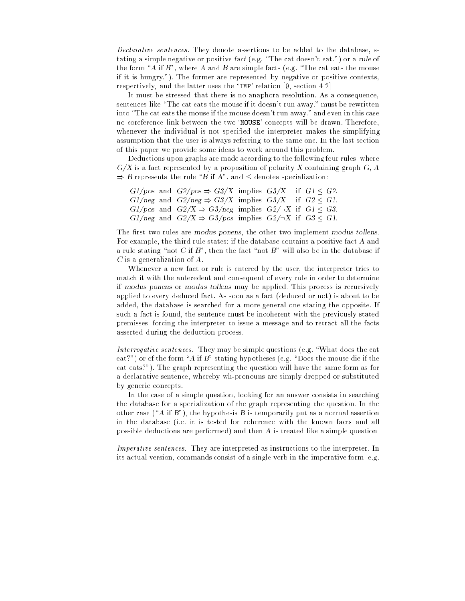Declarative sentences. They denote assertions to be added to the database, stating a simple negative or positive fact (e.g. "The cat doesn't eat.") or a rule of the form "A if B", where A and B are simple facts (e.g. "The cat eats the mouse if it is hungry."). The former are represented by negative or positive contexts, respectively, and the latter uses the `IMP' relation [9, section 4.2].

It must be stressed that there is no anaphora resolution. As a consequence, sentences like "The cat eats the mouse if it doesn't run away." must be rewritten into "The cat eats the mouse if the mouse doesn't run away." and even in this case no coreference link between the two 'MOUSE' concepts will be drawn. Therefore, whenever the individual is not specified the interpreter makes the simplifying assumption that the user is always referring to the same one. In the last section of this paper we provide some ideas to work around this problem.

Deductions upon graphs are made according to the following four rules, where  $G/X$  is a fact represented by a proposition of polarity X containing graph  $G, A$  $\Rightarrow$  B represents the rule "B if A", and  $\leq$  denotes specialization:

|  | $G1/pos$ and $G2/pos \Rightarrow G3/X$ implies $G3/X$ if $G1 < G2$ .         |  |  |
|--|------------------------------------------------------------------------------|--|--|
|  | $G1/neg$ and $G2/neg \Rightarrow G3/X$ implies $G3/X$ if $G2 < G1$ .         |  |  |
|  | $G1/pos$ and $G2/X \Rightarrow G3/neg$ implies $G2/\neg X$ if $G1 < G3$ .    |  |  |
|  | $G1/neg$ and $G2/X \Rightarrow G3/pos$ implies $G2/\neg X$ if $G3 \leq G1$ . |  |  |

The first two rules are modus ponens, the other two implement modus tollens. For example, the third rule states: if the database contains a positive fact A and a rule stating "not C if B", then the fact "not B" will also be in the database if C is a generalization of A.

Whenever a new fact or rule is entered by the user, the interpreter tries to match it with the antecedent and consequent of every rule in order to determine if modus ponens or modus tollens may be applied. This process is recursively applied to every deduced fact. As soon as a fact (deduced or not) is about to be added, the database is searched for a more general one stating the opposite. If such a fact is found, the sentence must be incoherent with the previously stated premisses, forcing the interpreter to issue a message and to retract all the facts asserted during the deduction process.

Interrogative sentences. They may be simple questions (e.g. "What does the cat eat?") or of the form "A if B" stating hypotheses (e.g. "Does the mouse die if the cat eats?"). The graph representing the question will have the same form as for a declarative sentence, whereby wh-pronouns are simply dropped or substituted by generic concepts.

In the case of a simple question, looking for an answer consists in searching the database for a specialization of the graph representing the question. In the other case ("A if B"), the hypothesis B is temporarily put as a normal assertion in the database (i.e. it is tested for coherence with the known facts and all possible deductions are performed) and then A is treated like a simple question.

Imperative sentences. They are interpreted as instructions to the interpreter. In its actual version, commands consist of a single verb in the imperative form, e.g.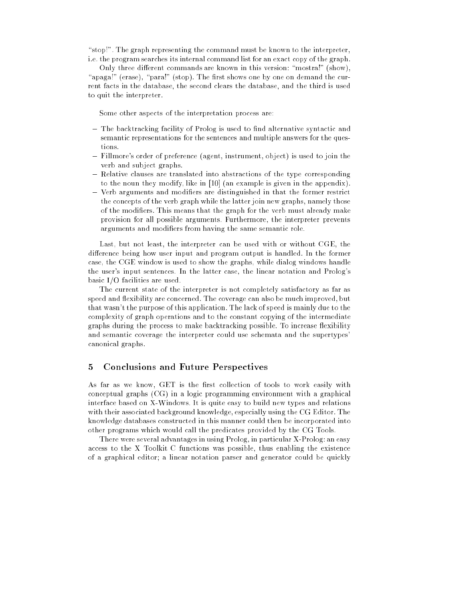"stop!". The graph representing the command must be known to the interpreter, i.e. the program searches its internal command list for an exact copy of the graph.

Only three different commands are known in this version: "mostra!" (show), "apaga!" (erase), "para!" (stop). The first shows one by one on demand the current facts in the database, the second clears the database, and the third is used to quit the interpreter.

Some other aspects of the interpretation process are:

- $-$  The backtracking facility of Prolog is used to find alternative syntactic and semantic representations for the sentences and multiple answers for the questions.
- { Fillmore's order of preference (agent, instrument, object) is used to join the verb and subject graphs.
- Relative clauses are translated into abstractions of the type corresponding to the noun they modify, like in [10] (an example is given in the appendix).
- $-$  Verb arguments and modifiers are distinguished in that the former restrict the concepts of the verb graph while the latter join new graphs, namely those of the modifiers. This means that the graph for the verb must already make provision for all possible arguments. Furthermore, the interpreter prevents arguments and modiers from having the same semantic role.

Last, but not least, the interpreter can be used with or without CGE, the difference being how user input and program output is handled. In the former case, the CGE window is used to show the graphs, while dialog windows handle the user's input sentences. In the latter case, the linear notation and Prolog's basic I/O facilities are used.

The current state of the interpreter is not completely satisfactory as far as speed and flexibility are concerned. The coverage can also be much improved, but that wasn't the purpose of this application. The lack of speed is mainly due to the complexity of graph operations and to the constant copying of the intermediate graphs during the process to make backtracking possible. To increase flexibility and semantic coverage the interpreter could use schemata and the supertypes' canonical graphs.

#### 5 Conclusions and Future Perspectives

As far as we know, GET is the first collection of tools to work easily with conceptual graphs (CG) in a logic programming environment with a graphical interface based on X-Windows. It is quite easy to build new types and relations with their associated background knowledge, especially using the CG Editor. The knowledge databases constructed in this manner could then be incorporated into other programs which would call the predicates provided by the CG Tools.

There were several advantages in using Prolog, in particular X-Prolog: an easy access to the X Toolkit C functions was possible, thus enabling the existence of a graphical editor; a linear notation parser and generator could be quickly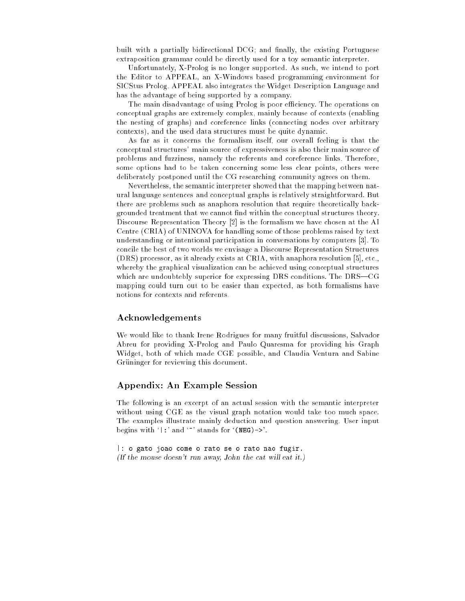built with a partially bidirectional DCG; and finally, the existing Portuguese extraposition grammar could be directly used for a toy semantic interpreter.

Unfortunately, X-Prolog is no longer supported. As such, we intend to port the Editor to APPEAL, an X-Windows based programming environment for SICStus Prolog. APPEAL also integrates the Widget Description Language and has the advantage of being supported by a company.

The main disadvantage of using Prolog is poor efficiency. The operations on conceptual graphs are extremely complex, mainly because of contexts (enabling the nesting of graphs) and coreference links (connecting nodes over arbitrary contexts), and the used data structures must be quite dynamic.

As far as it concerns the formalism itself, our overall feeling is that the conceptual structures' main source of expressiveness is also their main source of problems and fuzziness, namely the referents and coreference links. Therefore, some options had to be taken concerning some less clear points, others were deliberately postponed until the CG researching community agrees on them.

Nevertheless, the semantic interpreter showed that the mapping between natural language sentences and conceptual graphs is relatively straightforward. But there are problems such as anaphora resolution that require theoretically backgrounded treatment that we cannot find within the conceptual structures theory. Discourse Representation Theory [2] is the formalism we have chosen at the AI Centre (CRIA) of UNINOVA for handling some of those problems raised by text understanding or intentional participation in conversations by computers [3]. To concile the best of two worlds we envisage a Discourse Representation Structures (DRS) processor, as it already exists at CRIA, with anaphora resolution [5], etc., whereby the graphical visualization can be achieved using conceptual structures which are undoubtebly superior for expressing DRS conditions. The DRS—CG mapping could turn out to be easier than expected, as both formalisms have

#### Acknowledgements

We would like to thank Irene Rodrigues for many fruitful discussions, Salvador Abreu for providing X-Prolog and Paulo Quaresma for providing his Graph Widget, both of which made CGE possible, and Claudia Ventura and Sabine Grüninger for reviewing this document.

#### Appendix: An Example Session

The following is an excerpt of an actual session with the semantic interpreter without using CGE as the visual graph notation would take too much space. The examples illustrate mainly deduction and question answering. User input begins with  $\cdot$  : ' and  $\cdot$  ' stands for  $\cdot$ (NEG)->'.

|: o gato joao come o rato se o rato nao fugir. (If the mouse doesn't run away, John the cat will eat it.)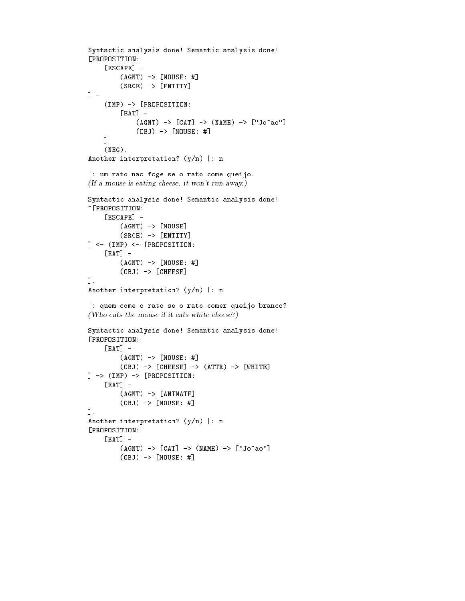```
Syntactic analysis done! Semantic analysis done!
[PROPOSITION:
    [ESCAPE] -
        (AGNT) -> [MOUSE: #]
        (SRCE) -> [ENTITY]1 -] -
    (IMP) -> [PROPOSITION:
        [EAT] -(AGNT) -> [CAT] -> (MAME) -> ['Jo<sup>~</sup>ao''](OBJ) -> [MOUSE: #]
    ]
    (NEG).
Another interpretation? (y/n) |: n
|: um rato nao foge se o rato come queijo.
(If a mouse is eating cheese, it won't run away.)
Syntactic analysis done! Semantic analysis done!
~[PROPOSITION:
    [ESCAPE] -
        (AGNT) -> [MOUSE](SRCE) -> [ENTITY]
] <- (IMP) <- [PROPOSITION:
    [EAT] -
        (AGNT) -> [MOUSE: #]
        (OBJ) -> [CHEESE]].
Another interpretation? (y/n) |: n
|: quem come o rato se o rato comer queijo branco?
(Who eats the mouse if it eats white cheese?)
Syntactic analysis done! Semantic analysis done!
[PROPOSITION:
    [EAT] -
        (AGNT) -> [MOUSE: #]
        (OBJ) -> [CHEESE] -> (ATTR) -> [WHITE]] -> (IMP) -> [PROPOSITION:
    [EAT] -
        (AGNT) -> [ANIMATE]
        (OBJ) -> [MOUSE: #]].
Another interpretation? (y/n) |: n
[PROPOSITION:
    [EAT] -
        (AGNT) -> [CAT] -> (MAME) -> ['Joao"]
        (OBJ) -> [MOUSE: #]
```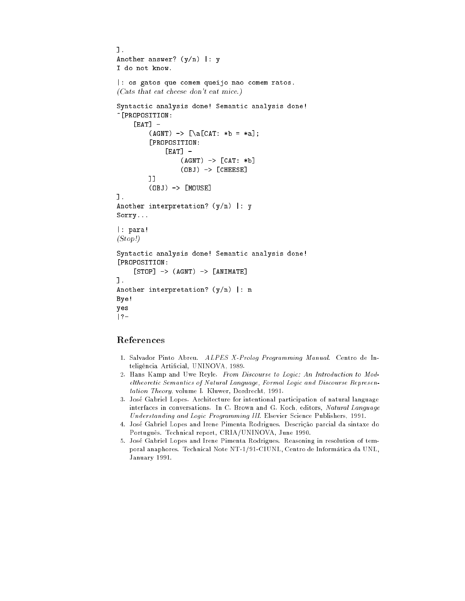```
].
Another answer? (y/n) |: y
I do not know.
|: os gatos que comem queijo nao comem ratos.
(Cats that eat cheese don't eat mice.)
Syntactic analysis done! Semantic analysis done!
~[PROPOSITION:
    [EAT] -
         (AGNT) -> [\hat{CAT}: *b = *a];[PROPOSITION:
             [EAT] -
                 (AGNT) \rightarrow [CAT: *b](OBJ) -> [CHEESE]]]
         (OBJ) -> [MOUSE]].
Another interpretation? (y/n) |: y
Sorry...
|: para!
(Stop!)
Syntactic analysis done! Semantic analysis done!
[PROPOSITION:
    [STOP] \rightarrow (AGNT) \rightarrow [ANTMATE]].
Another interpretation? (y/n) |: n
Bye!
yes
|?-
```
#### References

- 1. Salvador Pinto Abreu. ALPES X-Prolog Programming Manual. Centro de Intelig^encia Articial, UNINOVA, 1989.
- 2. Hans Kamp and Uwe Reyle. From Discourse to Logic: An Introduction to Modeltheoretic Semantics of Natural Language, Formal Logic and Discourse Representation Theory, volume I. Kluwer, Dordrecht, 1991.
- 3. Jose Gabriel Lopes. Architecture for intentional participation of natural language interfaces in conversations. In C. Brown and G. Koch, editors, Natural Language Understanding and Logic Programming III. Elsevier Science Publishers, 1991.
- 4. José Gabriel Lopes and Irene Pimenta Rodrigues. Descrição parcial da sintaxe do Português. Technical report, CRIA/UNINOVA, June 1990.
- 5. Jose Gabriel Lopes and Irene Pimenta Rodrigues. Reasoning in resolution of temporal anaphores. Technical Note NT-1/91-CIUNL, Centro de Informatica da UNL, January 1991.